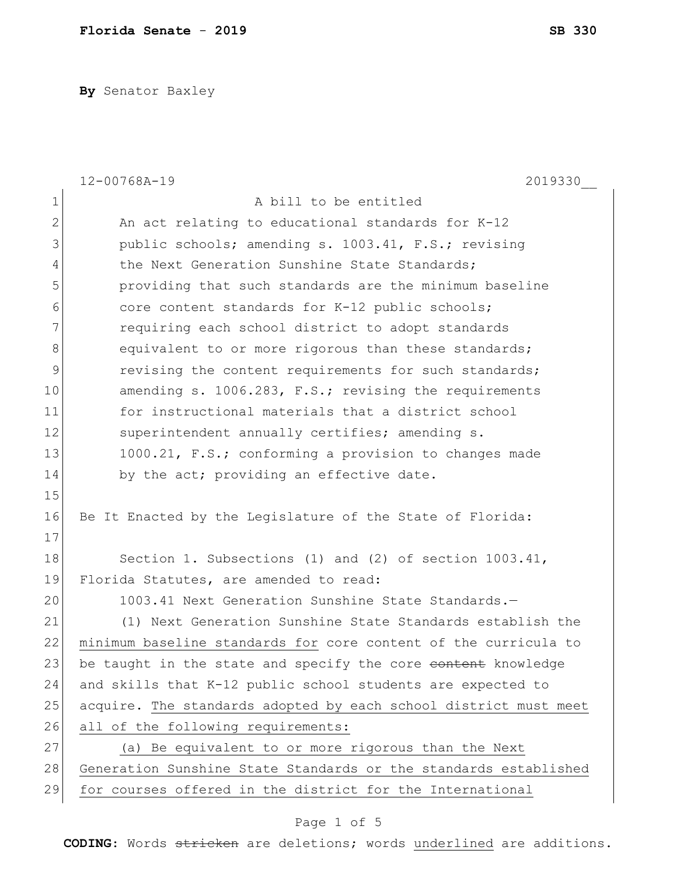**By** Senator Baxley

|                | $12 - 00768A - 19$<br>2019330                                    |  |
|----------------|------------------------------------------------------------------|--|
| $\mathbf 1$    | A bill to be entitled                                            |  |
| $\overline{2}$ | An act relating to educational standards for K-12                |  |
| 3              | public schools; amending s. 1003.41, F.S.; revising              |  |
| $\overline{4}$ | the Next Generation Sunshine State Standards;                    |  |
| 5              | providing that such standards are the minimum baseline           |  |
| 6              | core content standards for K-12 public schools;                  |  |
| 7              | requiring each school district to adopt standards                |  |
| 8              | equivalent to or more rigorous than these standards;             |  |
| 9              | revising the content requirements for such standards;            |  |
| 10             | amending s. 1006.283, F.S.; revising the requirements            |  |
| 11             | for instructional materials that a district school               |  |
| 12             | superintendent annually certifies; amending s.                   |  |
| 13             | 1000.21, F.S.; conforming a provision to changes made            |  |
| 14             | by the act; providing an effective date.                         |  |
| 15             |                                                                  |  |
| 16             | Be It Enacted by the Legislature of the State of Florida:        |  |
| 17             |                                                                  |  |
| 18             | Section 1. Subsections (1) and (2) of section 1003.41,           |  |
| 19             | Florida Statutes, are amended to read:                           |  |
| 20             | 1003.41 Next Generation Sunshine State Standards.-               |  |
| 21             | (1) Next Generation Sunshine State Standards establish the       |  |
| 22             | minimum baseline standards for core content of the curricula to  |  |
| 23             | be taught in the state and specify the core content knowledge    |  |
| 24             | and skills that K-12 public school students are expected to      |  |
| 25             | acquire. The standards adopted by each school district must meet |  |
| 26             | all of the following requirements:                               |  |
| 27             | (a) Be equivalent to or more rigorous than the Next              |  |
| 28             | Generation Sunshine State Standards or the standards established |  |
| 29             | for courses offered in the district for the International        |  |

## Page 1 of 5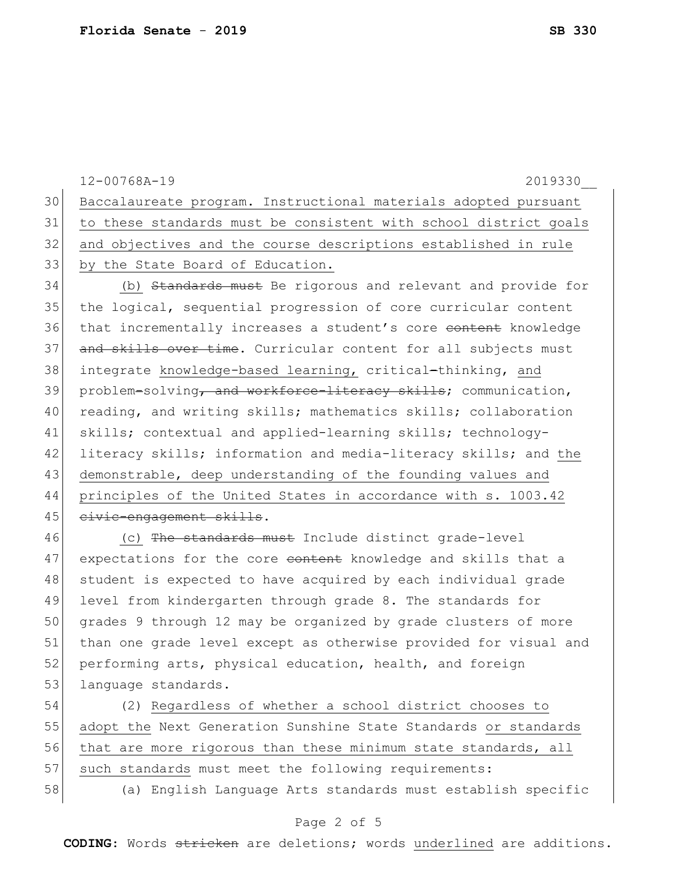|    | $12 - 00768A - 19$<br>2019330                                    |
|----|------------------------------------------------------------------|
| 30 | Baccalaureate program. Instructional materials adopted pursuant  |
| 31 | to these standards must be consistent with school district goals |
| 32 | and objectives and the course descriptions established in rule   |
| 33 | by the State Board of Education.                                 |
| 34 | (b) Standards must Be rigorous and relevant and provide for      |
| 35 | the logical, sequential progression of core curricular content   |
| 36 | that incrementally increases a student's core content knowledge  |
| 37 | and skills over time. Curricular content for all subjects must   |
| 38 | integrate knowledge-based learning, critical-thinking, and       |
| 39 | problem-solving, and workforce-literacy skills; communication,   |
| 40 | reading, and writing skills; mathematics skills; collaboration   |
| 41 | skills; contextual and applied-learning skills; technology-      |
| 42 | literacy skills; information and media-literacy skills; and the  |
| 43 | demonstrable, deep understanding of the founding values and      |
| 44 | principles of the United States in accordance with s. 1003.42    |
| 45 | civic-engagement skills.                                         |
| 46 | (c) The standards must Include distinct grade-level              |
| 47 | expectations for the core content knowledge and skills that a    |
| 48 | student is expected to have acquired by each individual grade    |
| 49 | level from kindergarten through grade 8. The standards for       |
| 50 | grades 9 through 12 may be organized by grade clusters of more   |
|    |                                                                  |

51 than one grade level except as otherwise provided for visual and 52 performing arts, physical education, health, and foreign 53 language standards.

54 (2) Regardless of whether a school district chooses to 55 adopt the Next Generation Sunshine State Standards or standards 56 that are more rigorous than these minimum state standards, all 57 such standards must meet the following requirements: 58 (a) English Language Arts standards must establish specific

## Page 2 of 5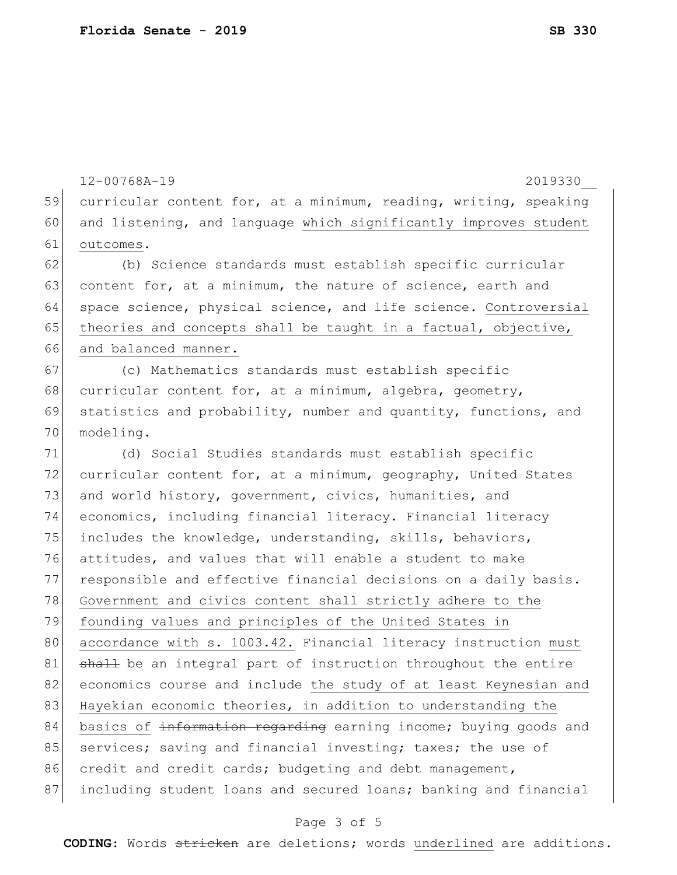12-00768A-19 2019330\_\_ 59 curricular content for, at a minimum, reading, writing, speaking 60 and listening, and language which significantly improves student 61 outcomes. 62 (b) Science standards must establish specific curricular 63 content for, at a minimum, the nature of science, earth and 64 space science, physical science, and life science. Controversial 65 theories and concepts shall be taught in a factual, objective, 66 and balanced manner. 67 (c) Mathematics standards must establish specific 68 curricular content for, at a minimum, algebra, geometry, 69 statistics and probability, number and quantity, functions, and 70 modeling. 71 (d) Social Studies standards must establish specific 72 curricular content for, at a minimum, geography, United States 73 and world history, government, civics, humanities, and 74 economics, including financial literacy. Financial literacy 75 includes the knowledge, understanding, skills, behaviors, 76 attitudes, and values that will enable a student to make 77 responsible and effective financial decisions on a daily basis. 78 Government and civics content shall strictly adhere to the 79 founding values and principles of the United States in 80 accordance with s. 1003.42. Financial literacy instruction must 81 shall be an integral part of instruction throughout the entire 82 economics course and include the study of at least Keynesian and 83 Hayekian economic theories, in addition to understanding the 84 basics of information regarding earning income; buying goods and 85 services; saving and financial investing; taxes; the use of 86 credit and credit cards; budgeting and debt management, 87 including student loans and secured loans; banking and financial

## Page 3 of 5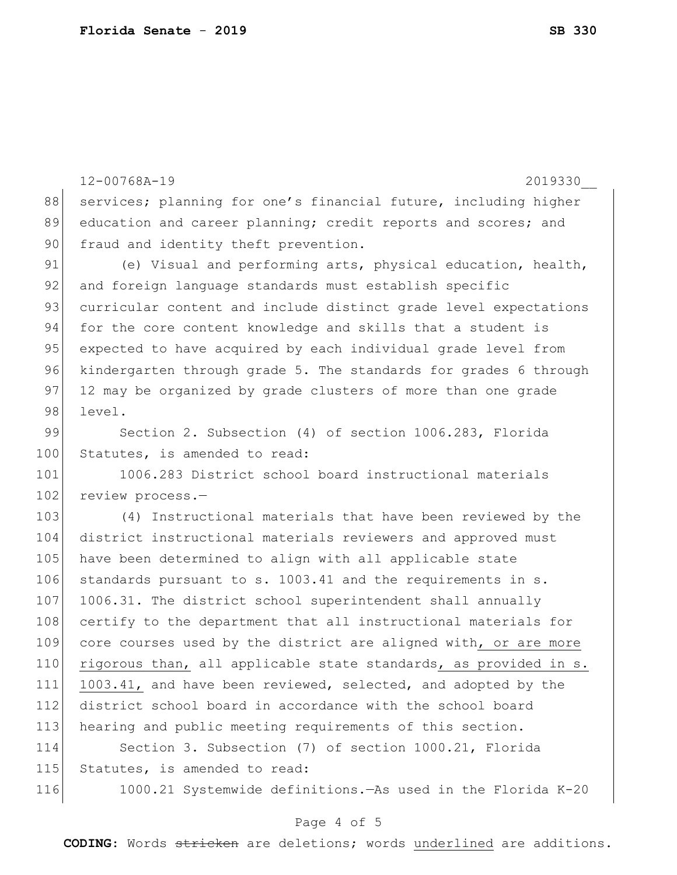```
12-00768A-19 2019330__
88 services; planning for one's financial future, including higher
89 education and career planning; credit reports and scores; and
90 fraud and identity theft prevention.
91 (e) Visual and performing arts, physical education, health,
92 and foreign language standards must establish specific
93 curricular content and include distinct grade level expectations
94 for the core content knowledge and skills that a student is
95 expected to have acquired by each individual grade level from
96 kindergarten through grade 5. The standards for grades 6 through
97 12 may be organized by grade clusters of more than one grade
98 level.
99 Section 2. Subsection (4) of section 1006.283, Florida
100 Statutes, is amended to read:
101 1006.283 District school board instructional materials
102 review process.-
103 (4) Instructional materials that have been reviewed by the
104 district instructional materials reviewers and approved must 
105 have been determined to align with all applicable state
106 standards pursuant to s. 1003.41 and the requirements in s. 
107 1006.31. The district school superintendent shall annually
108 certify to the department that all instructional materials for 
109 core courses used by the district are aligned with, or are more
110 rigorous than, all applicable state standards, as provided in s. 
111 1003.41, and have been reviewed, selected, and adopted by the 
112 district school board in accordance with the school board 
113 hearing and public meeting requirements of this section.
114 Section 3. Subsection (7) of section 1000.21, Florida 
115 Statutes, is amended to read:
116 1000.21 Systemwide definitions.—As used in the Florida K-20
```
## Page 4 of 5